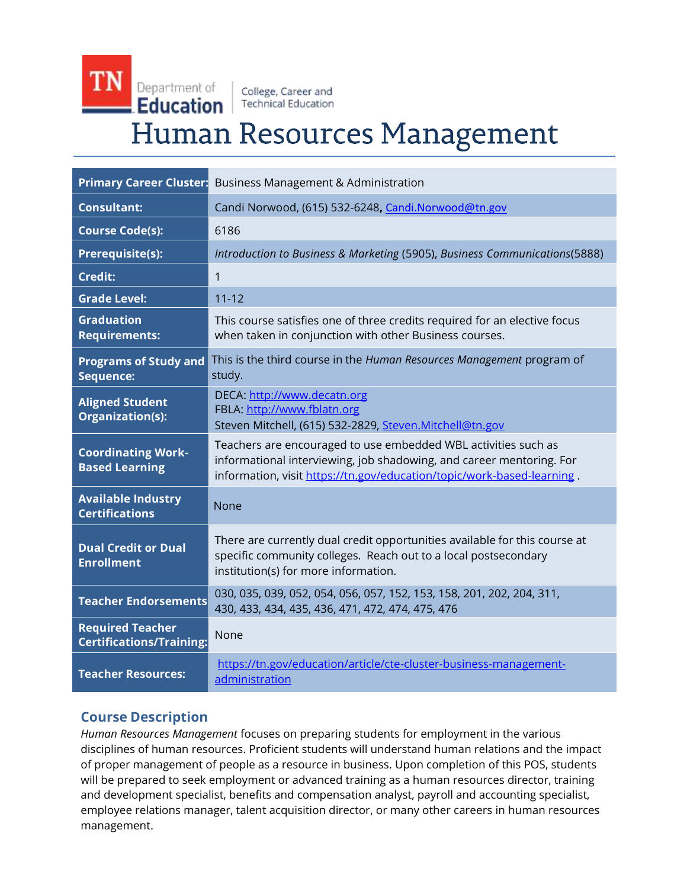# TN Department of College, Career and  $\blacksquare$  Education  $\parallel$  Technical Education Human Resources Management

|                                                            | <b>Primary Career Cluster:</b> Business Management & Administration                                                                                                                                              |
|------------------------------------------------------------|------------------------------------------------------------------------------------------------------------------------------------------------------------------------------------------------------------------|
| <b>Consultant:</b>                                         | Candi Norwood, (615) 532-6248, Candi.Norwood@tn.gov                                                                                                                                                              |
| <b>Course Code(s):</b>                                     | 6186                                                                                                                                                                                                             |
| <b>Prerequisite(s):</b>                                    | Introduction to Business & Marketing (5905), Business Communications(5888)                                                                                                                                       |
| <b>Credit:</b>                                             | $\mathbf{1}$                                                                                                                                                                                                     |
| <b>Grade Level:</b>                                        | $11 - 12$                                                                                                                                                                                                        |
| <b>Graduation</b><br><b>Requirements:</b>                  | This course satisfies one of three credits required for an elective focus<br>when taken in conjunction with other Business courses.                                                                              |
| <b>Programs of Study and</b><br>Sequence:                  | This is the third course in the Human Resources Management program of<br>study.                                                                                                                                  |
| <b>Aligned Student</b><br>Organization(s):                 | DECA: http://www.decatn.org<br>FBLA: http://www.fblatn.org<br>Steven Mitchell, (615) 532-2829, Steven.Mitchell@tn.gov                                                                                            |
| <b>Coordinating Work-</b><br><b>Based Learning</b>         | Teachers are encouraged to use embedded WBL activities such as<br>informational interviewing, job shadowing, and career mentoring. For<br>information, visit https://tn.gov/education/topic/work-based-learning. |
| <b>Available Industry</b><br><b>Certifications</b>         | None                                                                                                                                                                                                             |
| <b>Dual Credit or Dual</b><br><b>Enrollment</b>            | There are currently dual credit opportunities available for this course at<br>specific community colleges. Reach out to a local postsecondary<br>institution(s) for more information.                            |
| <b>Teacher Endorsements</b>                                | 030, 035, 039, 052, 054, 056, 057, 152, 153, 158, 201, 202, 204, 311,<br>430, 433, 434, 435, 436, 471, 472, 474, 475, 476                                                                                        |
| <b>Required Teacher</b><br><b>Certifications/Training:</b> | None                                                                                                                                                                                                             |
| <b>Teacher Resources:</b>                                  | https://tn.gov/education/article/cte-cluster-business-management-<br>administration                                                                                                                              |

## **Course Description**

*Human Resources Management* focuses on preparing students for employment in the various disciplines of human resources. Proficient students will understand human relations and the impact of proper management of people as a resource in business. Upon completion of this POS, students will be prepared to seek employment or advanced training as a human resources director, training and development specialist, benefits and compensation analyst, payroll and accounting specialist, employee relations manager, talent acquisition director, or many other careers in human resources management.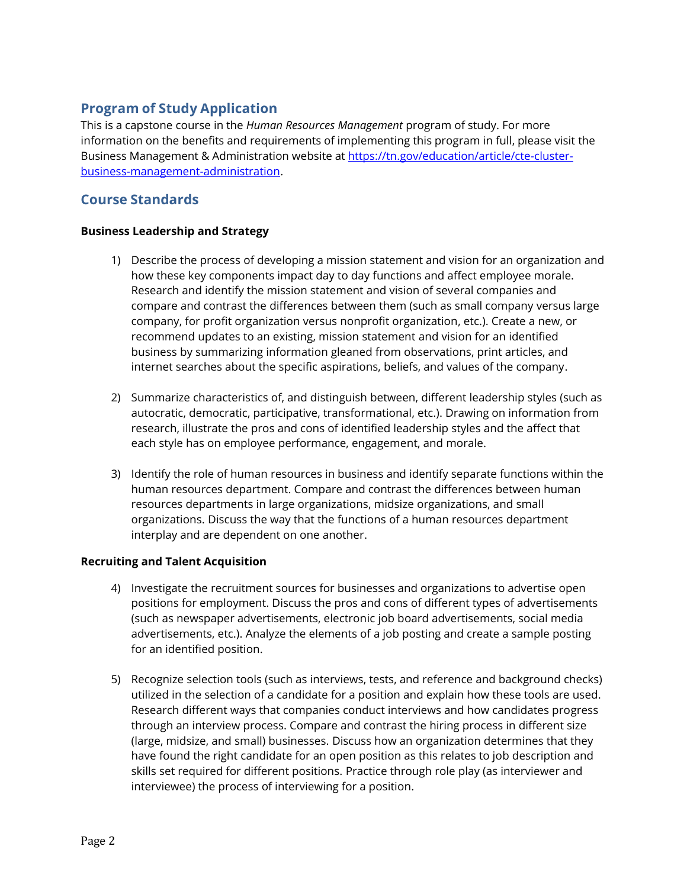## **Program of Study Application**

This is a capstone course in the *Human Resources Management* program of study. For more information on the benefits and requirements of implementing this program in full, please visit the Business Management & Administration website at [https://tn.gov/education/article/cte-cluster](https://tn.gov/education/article/cte-cluster-business-management-administration)[business-management-administration.](https://tn.gov/education/article/cte-cluster-business-management-administration)

### **Course Standards**

#### **Business Leadership and Strategy**

- 1) Describe the process of developing a mission statement and vision for an organization and how these key components impact day to day functions and affect employee morale. Research and identify the mission statement and vision of several companies and compare and contrast the differences between them (such as small company versus large company, for profit organization versus nonprofit organization, etc.). Create a new, or recommend updates to an existing, mission statement and vision for an identified business by summarizing information gleaned from observations, print articles, and internet searches about the specific aspirations, beliefs, and values of the company.
- 2) Summarize characteristics of, and distinguish between, different leadership styles (such as autocratic, democratic, participative, transformational, etc.). Drawing on information from research, illustrate the pros and cons of identified leadership styles and the affect that each style has on employee performance, engagement, and morale.
- 3) Identify the role of human resources in business and identify separate functions within the human resources department. Compare and contrast the differences between human resources departments in large organizations, midsize organizations, and small organizations. Discuss the way that the functions of a human resources department interplay and are dependent on one another.

#### **Recruiting and Talent Acquisition**

- 4) Investigate the recruitment sources for businesses and organizations to advertise open positions for employment. Discuss the pros and cons of different types of advertisements (such as newspaper advertisements, electronic job board advertisements, social media advertisements, etc.). Analyze the elements of a job posting and create a sample posting for an identified position.
- 5) Recognize selection tools (such as interviews, tests, and reference and background checks) utilized in the selection of a candidate for a position and explain how these tools are used. Research different ways that companies conduct interviews and how candidates progress through an interview process. Compare and contrast the hiring process in different size (large, midsize, and small) businesses. Discuss how an organization determines that they have found the right candidate for an open position as this relates to job description and skills set required for different positions. Practice through role play (as interviewer and interviewee) the process of interviewing for a position.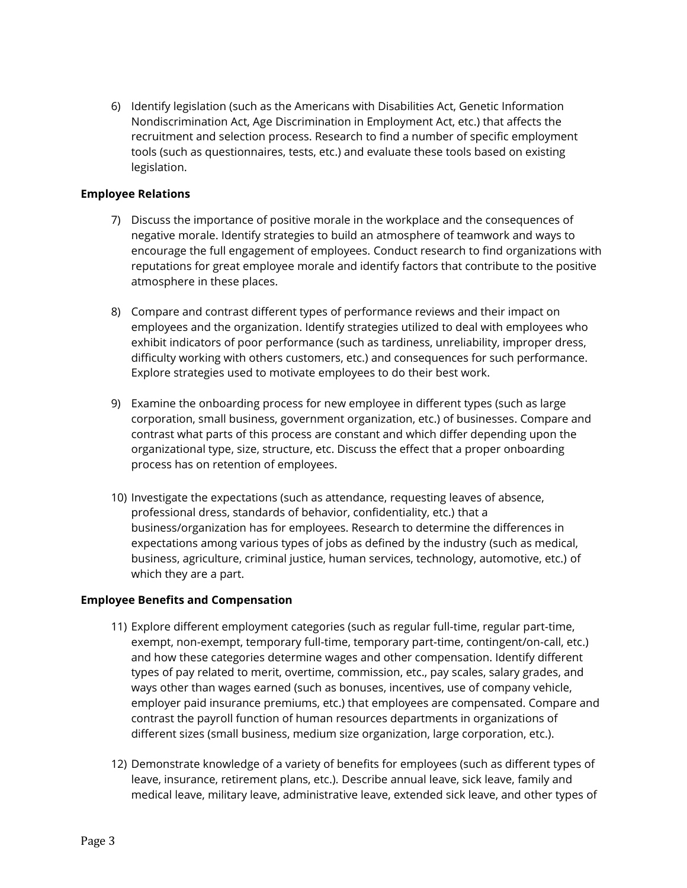6) Identify legislation (such as the Americans with Disabilities Act, Genetic Information Nondiscrimination Act, Age Discrimination in Employment Act, etc.) that affects the recruitment and selection process. Research to find a number of specific employment tools (such as questionnaires, tests, etc.) and evaluate these tools based on existing legislation.

#### **Employee Relations**

- 7) Discuss the importance of positive morale in the workplace and the consequences of negative morale. Identify strategies to build an atmosphere of teamwork and ways to encourage the full engagement of employees. Conduct research to find organizations with reputations for great employee morale and identify factors that contribute to the positive atmosphere in these places.
- 8) Compare and contrast different types of performance reviews and their impact on employees and the organization. Identify strategies utilized to deal with employees who exhibit indicators of poor performance (such as tardiness, unreliability, improper dress, difficulty working with others customers, etc.) and consequences for such performance. Explore strategies used to motivate employees to do their best work.
- 9) Examine the onboarding process for new employee in different types (such as large corporation, small business, government organization, etc.) of businesses. Compare and contrast what parts of this process are constant and which differ depending upon the organizational type, size, structure, etc. Discuss the effect that a proper onboarding process has on retention of employees.
- 10) Investigate the expectations (such as attendance, requesting leaves of absence, professional dress, standards of behavior, confidentiality, etc.) that a business/organization has for employees. Research to determine the differences in expectations among various types of jobs as defined by the industry (such as medical, business, agriculture, criminal justice, human services, technology, automotive, etc.) of which they are a part.

#### **Employee Benefits and Compensation**

- 11) Explore different employment categories (such as regular full-time, regular part-time, exempt, non-exempt, temporary full-time, temporary part-time, contingent/on-call, etc.) and how these categories determine wages and other compensation. Identify different types of pay related to merit, overtime, commission, etc., pay scales, salary grades, and ways other than wages earned (such as bonuses, incentives, use of company vehicle, employer paid insurance premiums, etc.) that employees are compensated. Compare and contrast the payroll function of human resources departments in organizations of different sizes (small business, medium size organization, large corporation, etc.).
- 12) Demonstrate knowledge of a variety of benefits for employees (such as different types of leave, insurance, retirement plans, etc.). Describe annual leave, sick leave, family and medical leave, military leave, administrative leave, extended sick leave, and other types of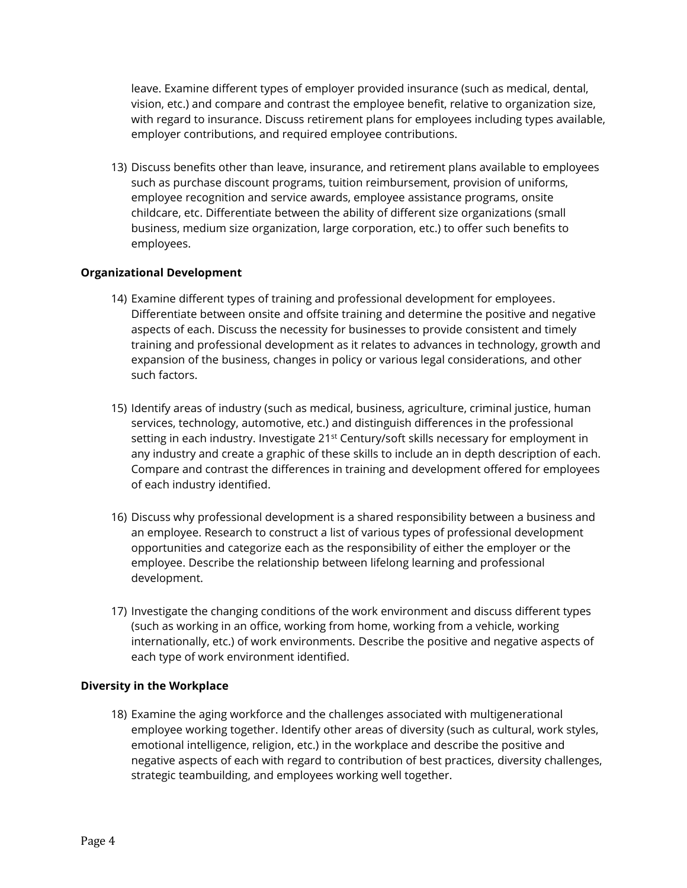leave. Examine different types of employer provided insurance (such as medical, dental, vision, etc.) and compare and contrast the employee benefit, relative to organization size, with regard to insurance. Discuss retirement plans for employees including types available, employer contributions, and required employee contributions.

13) Discuss benefits other than leave, insurance, and retirement plans available to employees such as purchase discount programs, tuition reimbursement, provision of uniforms, employee recognition and service awards, employee assistance programs, onsite childcare, etc. Differentiate between the ability of different size organizations (small business, medium size organization, large corporation, etc.) to offer such benefits to employees.

#### **Organizational Development**

- 14) Examine different types of training and professional development for employees. Differentiate between onsite and offsite training and determine the positive and negative aspects of each. Discuss the necessity for businesses to provide consistent and timely training and professional development as it relates to advances in technology, growth and expansion of the business, changes in policy or various legal considerations, and other such factors.
- 15) Identify areas of industry (such as medical, business, agriculture, criminal justice, human services, technology, automotive, etc.) and distinguish differences in the professional setting in each industry. Investigate 21<sup>st</sup> Century/soft skills necessary for employment in any industry and create a graphic of these skills to include an in depth description of each. Compare and contrast the differences in training and development offered for employees of each industry identified.
- 16) Discuss why professional development is a shared responsibility between a business and an employee. Research to construct a list of various types of professional development opportunities and categorize each as the responsibility of either the employer or the employee. Describe the relationship between lifelong learning and professional development.
- 17) Investigate the changing conditions of the work environment and discuss different types (such as working in an office, working from home, working from a vehicle, working internationally, etc.) of work environments. Describe the positive and negative aspects of each type of work environment identified.

#### **Diversity in the Workplace**

18) Examine the aging workforce and the challenges associated with multigenerational employee working together. Identify other areas of diversity (such as cultural, work styles, emotional intelligence, religion, etc.) in the workplace and describe the positive and negative aspects of each with regard to contribution of best practices, diversity challenges, strategic teambuilding, and employees working well together.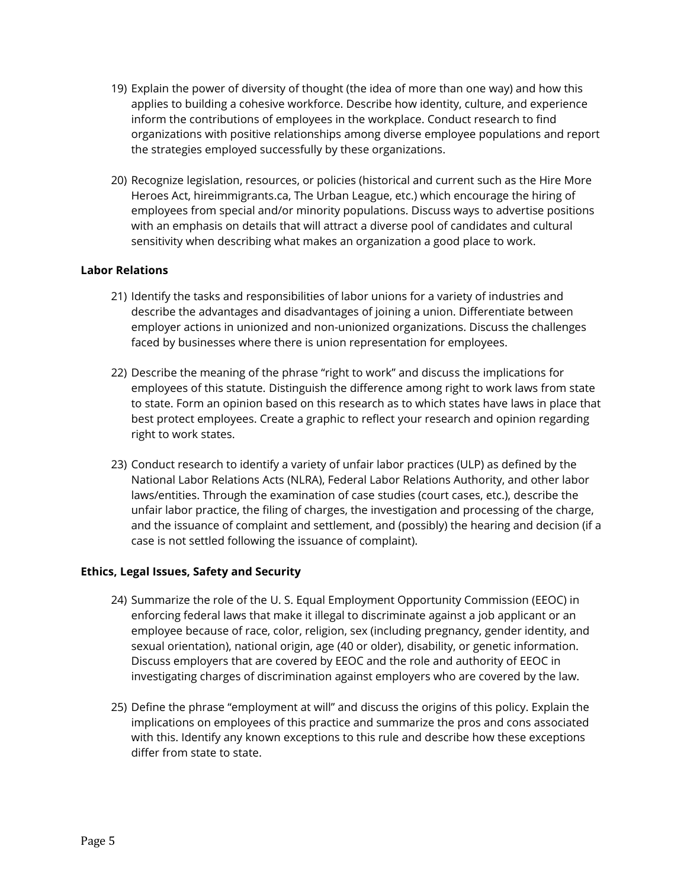- 19) Explain the power of diversity of thought (the idea of more than one way) and how this applies to building a cohesive workforce. Describe how identity, culture, and experience inform the contributions of employees in the workplace. Conduct research to find organizations with positive relationships among diverse employee populations and report the strategies employed successfully by these organizations.
- 20) Recognize legislation, resources, or policies (historical and current such as the Hire More Heroes Act, hireimmigrants.ca, The Urban League, etc.) which encourage the hiring of employees from special and/or minority populations. Discuss ways to advertise positions with an emphasis on details that will attract a diverse pool of candidates and cultural sensitivity when describing what makes an organization a good place to work.

#### **Labor Relations**

- 21) Identify the tasks and responsibilities of labor unions for a variety of industries and describe the advantages and disadvantages of joining a union. Differentiate between employer actions in unionized and non-unionized organizations. Discuss the challenges faced by businesses where there is union representation for employees.
- 22) Describe the meaning of the phrase "right to work" and discuss the implications for employees of this statute. Distinguish the difference among right to work laws from state to state. Form an opinion based on this research as to which states have laws in place that best protect employees. Create a graphic to reflect your research and opinion regarding right to work states.
- 23) Conduct research to identify a variety of unfair labor practices (ULP) as defined by the National Labor Relations Acts (NLRA), Federal Labor Relations Authority, and other labor laws/entities. Through the examination of case studies (court cases, etc.), describe the unfair labor practice, the filing of charges, the investigation and processing of the charge, and the issuance of complaint and settlement, and (possibly) the hearing and decision (if a case is not settled following the issuance of complaint).

#### **Ethics, Legal Issues, Safety and Security**

- 24) Summarize the role of the U. S. Equal Employment Opportunity Commission (EEOC) in enforcing federal laws that make it illegal to discriminate against a job applicant or an employee because of race, color, religion, sex (including pregnancy, gender identity, and sexual orientation), national origin, age (40 or older), disability, or genetic information. Discuss employers that are covered by EEOC and the role and authority of EEOC in investigating charges of discrimination against employers who are covered by the law.
- 25) Define the phrase "employment at will" and discuss the origins of this policy. Explain the implications on employees of this practice and summarize the pros and cons associated with this. Identify any known exceptions to this rule and describe how these exceptions differ from state to state.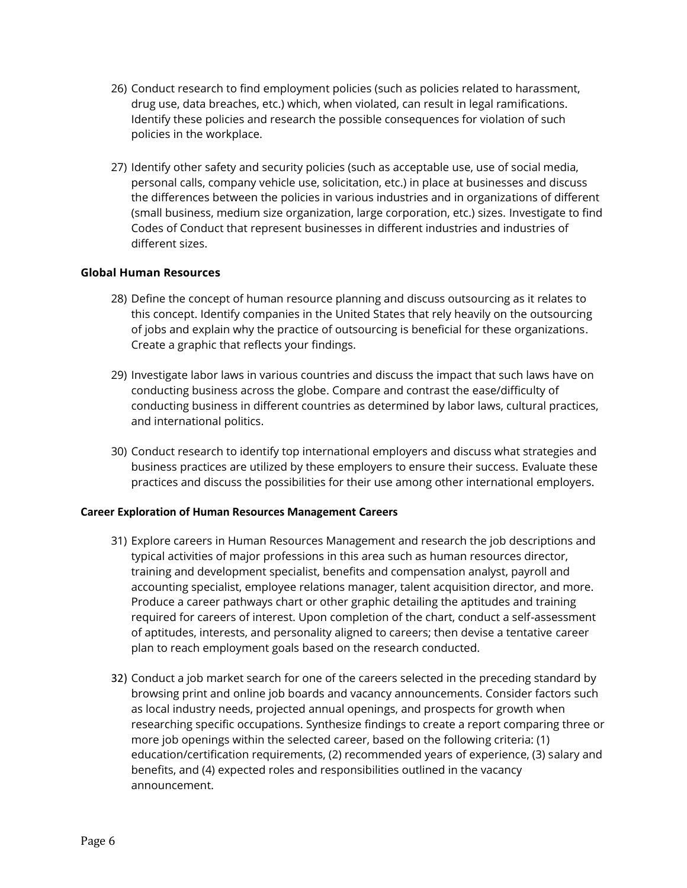- 26) Conduct research to find employment policies (such as policies related to harassment, drug use, data breaches, etc.) which, when violated, can result in legal ramifications. Identify these policies and research the possible consequences for violation of such policies in the workplace.
- 27) Identify other safety and security policies (such as acceptable use, use of social media, personal calls, company vehicle use, solicitation, etc.) in place at businesses and discuss the differences between the policies in various industries and in organizations of different (small business, medium size organization, large corporation, etc.) sizes. Investigate to find Codes of Conduct that represent businesses in different industries and industries of different sizes.

#### **Global Human Resources**

- 28) Define the concept of human resource planning and discuss outsourcing as it relates to this concept. Identify companies in the United States that rely heavily on the outsourcing of jobs and explain why the practice of outsourcing is beneficial for these organizations. Create a graphic that reflects your findings.
- 29) Investigate labor laws in various countries and discuss the impact that such laws have on conducting business across the globe. Compare and contrast the ease/difficulty of conducting business in different countries as determined by labor laws, cultural practices, and international politics.
- 30) Conduct research to identify top international employers and discuss what strategies and business practices are utilized by these employers to ensure their success. Evaluate these practices and discuss the possibilities for their use among other international employers.

#### **Career Exploration of Human Resources Management Careers**

- 31) Explore careers in Human Resources Management and research the job descriptions and typical activities of major professions in this area such as human resources director, training and development specialist, benefits and compensation analyst, payroll and accounting specialist, employee relations manager, talent acquisition director, and more. Produce a career pathways chart or other graphic detailing the aptitudes and training required for careers of interest. Upon completion of the chart, conduct a self-assessment of aptitudes, interests, and personality aligned to careers; then devise a tentative career plan to reach employment goals based on the research conducted.
- 32) Conduct a job market search for one of the careers selected in the preceding standard by browsing print and online job boards and vacancy announcements. Consider factors such as local industry needs, projected annual openings, and prospects for growth when researching specific occupations. Synthesize findings to create a report comparing three or more job openings within the selected career, based on the following criteria: (1) education/certification requirements, (2) recommended years of experience, (3) salary and benefits, and (4) expected roles and responsibilities outlined in the vacancy announcement.